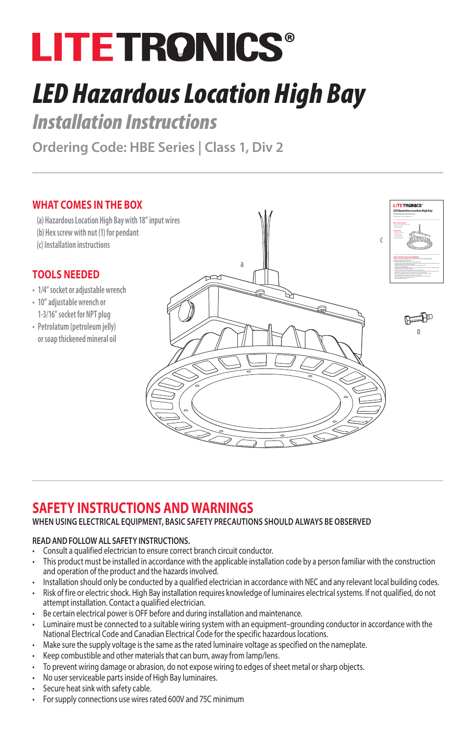# **LITETRONICS®**

## *LED Hazardous Location High Bay*

*Installation Instructions*

**Ordering Code: HBE Series | Class 1, Div 2** 

#### **WHAT COMES IN THE BOX**

**(a) Hazardous Location High Bay with 18" input wires (b) Hex screw with nut (1) for pendant (c) Installation instructions**

#### **TOOLS NEEDED**

- **• 1/4" socket or adjustable wrench**
- **• 10" adjustable wrench or 1-3/16" socket for NPT plug**
- **• Petrolatum (petroleum jelly) or soap thickened mineral oil**



### **SAFETY INSTRUCTIONS AND WARNINGS**

#### **WHEN USING ELECTRICAL EQUIPMENT, BASIC SAFETY PRECAUTIONS SHOULD ALWAYS BE OBSERVED**

#### **READ AND FOLLOW ALL SAFETY INSTRUCTIONS.**

- Consult a qualified electrician to ensure correct branch circuit conductor.
- This product must be installed in accordance with the applicable installation code by a person familiar with the construction and operation of the product and the hazards involved.
- Installation should only be conducted by a qualified electrician in accordance with NEC and any relevant local building codes.
- Risk of fire or electric shock. High Bay installation requires knowledge of luminaires electrical systems. If not qualified, do not attempt installation. Contact a qualified electrician.
- Be certain electrical power is OFF before and during installation and maintenance.
- Luminaire must be connected to a suitable wiring system with an equipment–grounding conductor in accordance with the National Electrical Code and Canadian Electrical Code for the specific hazardous locations.
- Make sure the supply voltage is the same as the rated luminaire voltage as specified on the nameplate.
- Keep combustible and other materials that can burn, away from lamp/lens.
- To prevent wiring damage or abrasion, do not expose wiring to edges of sheet metal or sharp objects.
- No user serviceable parts inside of High Bay luminaires.
- Secure heat sink with safety cable.
- For supply connections use wires rated 600V and 75C minimum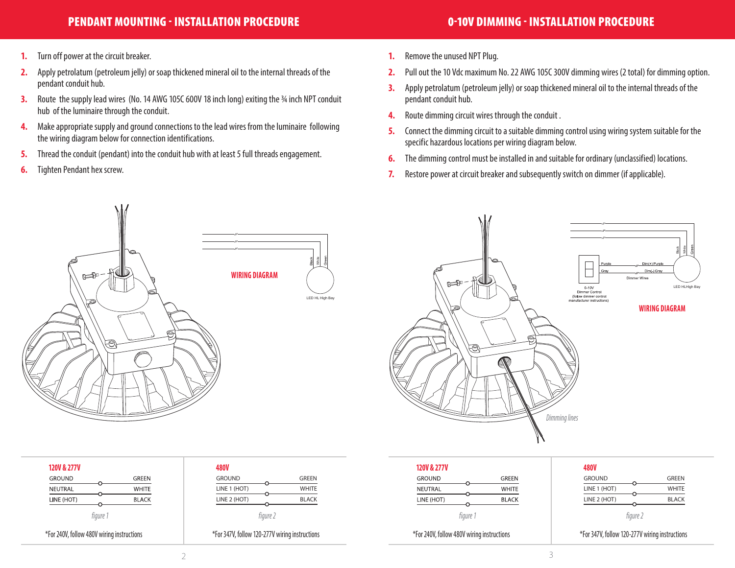#### PENDANT MOUNTING - INSTALLATION PROCEDURE NAMEL AND SOLUTION OF THE OPEN OF THE OPEN OF THE ORDER OF THE ORDER

- **1.** Turn off power at the circuit breaker.
- **2.** Apply petrolatum (petroleum jelly) or soap thickened mineral oil to the internal threads of the pendant conduit hub.
- **3.** Route the supply lead wires (No. 14 AWG 105C 600V 18 inch long) exiting the 34 inch NPT conduit hub of the luminaire through the conduit.
- **4.** Make appropriate supply and ground connections to the lead wires from the luminaire following the wiring diagram below for connection identifications.
- **5.** Thread the conduit (pendant) into the conduit hub with at least 5 full threads engagement.
- **6.** Tighten Pendant hex screw.
- **1.** Remove the unused NPT Plug.
- **2.** Pull out the 10 Vdc maximum No. 22 AWG 105C 300V dimming wires (2 total) for dimming option.
- **3.** Apply petrolatum (petroleum jelly) or soap thickened mineral oil to the internal threads of the pendant conduit hub.
- **4.** Route dimming circuit wires through the conduit .
- **5.** Connect the dimming circuit to a suitable dimming control using wiring system suitable for the specific hazardous locations per wiring diagram below.
- **6.** The dimming control must be installed in and suitable for ordinary (unclassified) locations.
- **7.** Restore power at circuit breaker and subsequently switch on dimmer (if applicable).



| <b>120V &amp; 277V</b> |              |
|------------------------|--------------|
| <b>GROUND</b>          | GRFFN        |
| NEUTRAL                | WHITE        |
| LINE (HOT)             | <b>BLACK</b> |
| figure 1               |              |

\*For 240V, follow 480V wiring instructions \*For 347V, follow 120-277V wiring instructions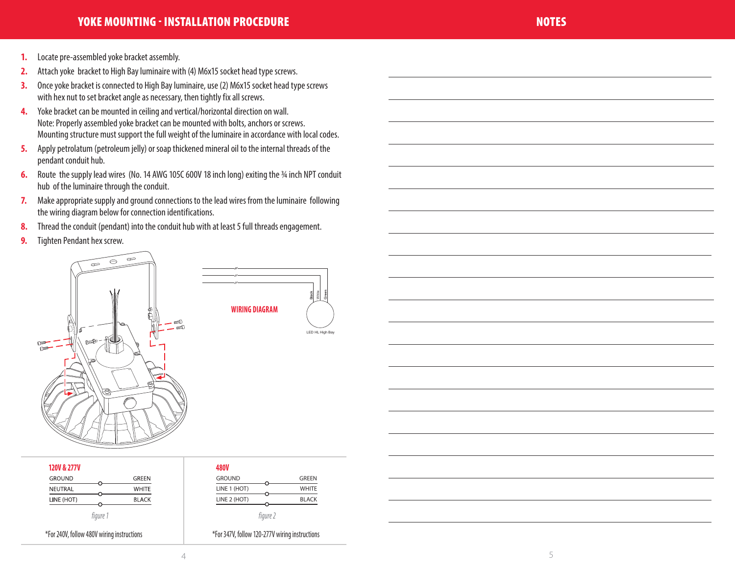- **1.** Locate pre-assembled yoke bracket assembly.
- **2.** Attach yoke bracket to High Bay luminaire with (4) M6x15 socket head type screws.
- **3.** Once yoke bracket is connected to High Bay luminaire, use (2) M6x15 socket head type screws with hex nut to set bracket angle as necessary, then tightly fix all screws.
- **4.** Yoke bracket can be mounted in ceiling and vertical/horizontal direction on wall. Note: Properly assembled yoke bracket can be mounted with bolts, anchors or screws. Mounting structure must support the full weight of the luminaire in accordance with local codes.
- **5.** Apply petrolatum (petroleum jelly) or soap thickened mineral oil to the internal threads of the pendant conduit hub.
- **6.** Route the supply lead wires (No. 14 AWG 105C 600V 18 inch long) exiting the 34 inch NPT conduit hub of the luminaire through the conduit.
- **7.** Make appropriate supply and ground connections to the lead wires from the luminaire following the wiring diagram below for connection identifications.
- **8.** Thread the conduit (pendant) into the conduit hub with at least 5 full threads engagement.
- **9.** Tighten Pendant hex screw.



| <b>120V &amp; 277V</b> |              | <b>480V</b>   |
|------------------------|--------------|---------------|
| <b>GROUND</b>          | <b>GREEN</b> | <b>GROUND</b> |
| NEUTRAL                | <b>WHITE</b> | LINE 1 (HOT)  |
| LINE (HOT)             | <b>BLACK</b> | LINE 2 (HOT)  |
| fiaure                 |              | fiaure 2      |

| <b>480V</b>   |          |              |
|---------------|----------|--------------|
| <b>GROUND</b> |          | <b>GREEN</b> |
| LINE 1 (HOT)  |          | <b>WHITE</b> |
| LINE 2 (HOT)  |          | <b>BLACK</b> |
|               | finuro 7 |              |

\*For 240V, follow 480V wiring instructions \*For 347V, follow 120-277V wiring instructions



 $\overline{a}$ 

 $\overline{a}$